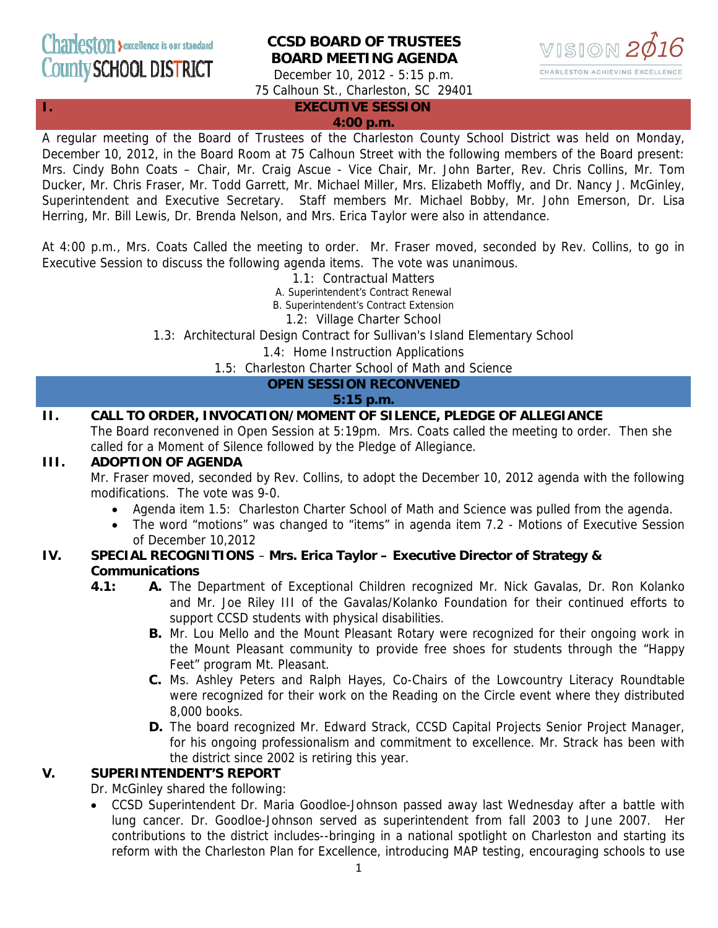# **CCSD BOARD OF TRUSTEES BOARD MEETING AGENDA**



December 10, 2012 - 5:15 p.m. 75 Calhoun St., Charleston, SC 29401

### **I. EXECUTIVE SESSION**

#### **4:00 p.m.**

A regular meeting of the Board of Trustees of the Charleston County School District was held on Monday, December 10, 2012, in the Board Room at 75 Calhoun Street with the following members of the Board present: Mrs. Cindy Bohn Coats – Chair, Mr. Craig Ascue - Vice Chair, Mr. John Barter, Rev. Chris Collins, Mr. Tom Ducker, Mr. Chris Fraser, Mr. Todd Garrett, Mr. Michael Miller, Mrs. Elizabeth Moffly, and Dr. Nancy J. McGinley, Superintendent and Executive Secretary. Staff members Mr. Michael Bobby, Mr. John Emerson, Dr. Lisa Herring, Mr. Bill Lewis, Dr. Brenda Nelson, and Mrs. Erica Taylor were also in attendance.

At 4:00 p.m., Mrs. Coats Called the meeting to order. Mr. Fraser moved, seconded by Rev. Collins, to go in Executive Session to discuss the following agenda items. The vote was unanimous.

1.1: Contractual Matters

A. Superintendent's Contract Renewal

B. Superintendent's Contract Extension

1.2: Village Charter School

1.3: Architectural Design Contract for Sullivan's Island Elementary School

1.4: Home Instruction Applications

1.5: Charleston Charter School of Math and Science

### **OPEN SESSION RECONVENED**

### **5:15 p.m.**

### **II. CALL TO ORDER, INVOCATION/MOMENT OF SILENCE, PLEDGE OF ALLEGIANCE**

The Board reconvened in Open Session at 5:19pm. Mrs. Coats called the meeting to order. Then she called for a Moment of Silence followed by the Pledge of Allegiance.

#### **III. ADOPTION OF AGENDA**

Mr. Fraser moved, seconded by Rev. Collins, to adopt the December 10, 2012 agenda with the following modifications. The vote was 9-0.

- Agenda item 1.5: Charleston Charter School of Math and Science was pulled from the agenda.
- The word "motions" was changed to "items" in agenda item 7.2 Motions of Executive Session of December 10,2012

### **IV. SPECIAL RECOGNITIONS** – **Mrs. Erica Taylor – Executive Director of Strategy & Communications**

- **4.1: A.** The Department of Exceptional Children recognized Mr. Nick Gavalas, Dr. Ron Kolanko and Mr. Joe Riley III of the Gavalas/Kolanko Foundation for their continued efforts to support CCSD students with physical disabilities.
	- **B.** Mr. Lou Mello and the Mount Pleasant Rotary were recognized for their ongoing work in the Mount Pleasant community to provide free shoes for students through the "Happy Feet" program Mt. Pleasant.
	- **C.** Ms. Ashley Peters and Ralph Hayes, Co-Chairs of the Lowcountry Literacy Roundtable were recognized for their work on the Reading on the Circle event where they distributed 8,000 books.
	- **D.** The board recognized Mr. Edward Strack, CCSD Capital Projects Senior Project Manager, for his ongoing professionalism and commitment to excellence. Mr. Strack has been with the district since 2002 is retiring this year.

### **V. SUPERINTENDENT'S REPORT**

Dr. McGinley shared the following:

• CCSD Superintendent Dr. Maria Goodloe-Johnson passed away last Wednesday after a battle with lung cancer. Dr. Goodloe-Johnson served as superintendent from fall 2003 to June 2007. Her contributions to the district includes--bringing in a national spotlight on Charleston and starting its reform with the Charleston Plan for Excellence, introducing MAP testing, encouraging schools to use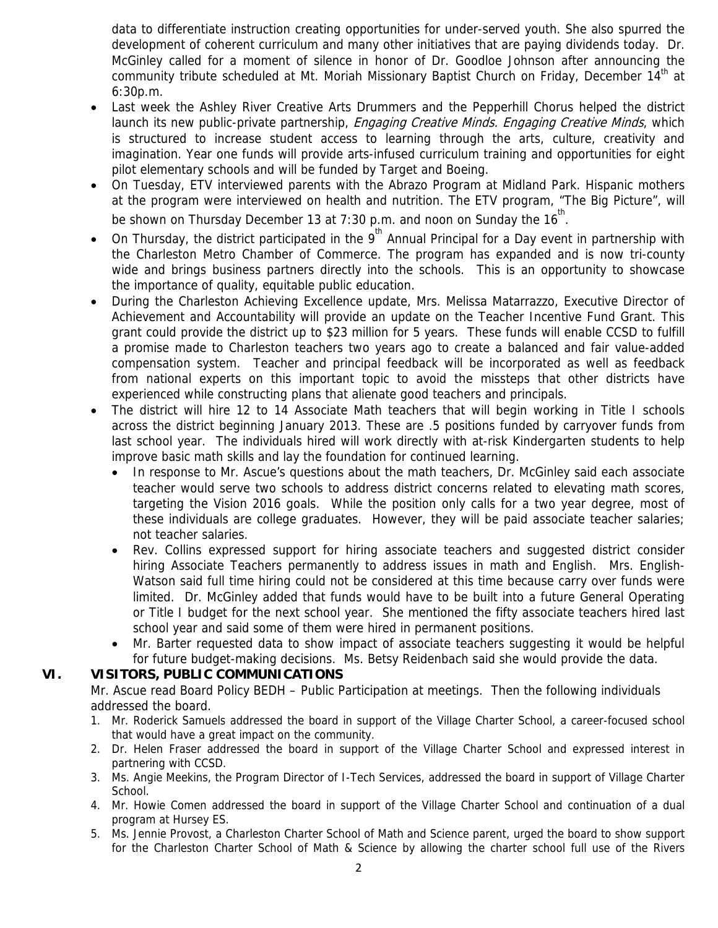data to differentiate instruction creating opportunities for under-served youth. She also spurred the development of coherent curriculum and many other initiatives that are paying dividends today. Dr. McGinley called for a moment of silence in honor of Dr. Goodloe Johnson after announcing the community tribute scheduled at Mt. Moriah Missionary Baptist Church on Friday, December  $14<sup>th</sup>$  at 6:30p.m.

- Last week the Ashley River Creative Arts Drummers and the Pepperhill Chorus helped the district launch its new public-private partnership, *Engaging Creative Minds. Engaging Creative Minds*, which is structured to increase student access to learning through the arts, culture, creativity and imagination. Year one funds will provide arts-infused curriculum training and opportunities for eight pilot elementary schools and will be funded by Target and Boeing.
- On Tuesday, ETV interviewed parents with the Abrazo Program at Midland Park. Hispanic mothers at the program were interviewed on health and nutrition. The ETV program, "The Big Picture", will be shown on Thursday December 13 at 7:30 p.m. and noon on Sunday the  $16^{\text{th}}$ .
- On Thursday, the district participated in the 9<sup>th</sup> Annual Principal for a Day event in partnership with the Charleston Metro Chamber of Commerce. The program has expanded and is now tri-county wide and brings business partners directly into the schools. This is an opportunity to showcase the importance of quality, equitable public education.
- During the Charleston Achieving Excellence update, Mrs. Melissa Matarrazzo, Executive Director of Achievement and Accountability will provide an update on the Teacher Incentive Fund Grant. This grant could provide the district up to \$23 million for 5 years. These funds will enable CCSD to fulfill a promise made to Charleston teachers two years ago to create a balanced and fair value-added compensation system. Teacher and principal feedback will be incorporated as well as feedback from national experts on this important topic to avoid the missteps that other districts have experienced while constructing plans that alienate good teachers and principals.
- The district will hire 12 to 14 Associate Math teachers that will begin working in Title I schools across the district beginning January 2013. These are .5 positions funded by carryover funds from last school year. The individuals hired will work directly with at-risk Kindergarten students to help improve basic math skills and lay the foundation for continued learning.
	- In response to Mr. Ascue's questions about the math teachers, Dr. McGinley said each associate teacher would serve two schools to address district concerns related to elevating math scores, targeting the Vision 2016 goals. While the position only calls for a two year degree, most of these individuals are college graduates. However, they will be paid associate teacher salaries; not teacher salaries.
	- Rev. Collins expressed support for hiring associate teachers and suggested district consider hiring Associate Teachers permanently to address issues in math and English. Mrs. English-Watson said full time hiring could not be considered at this time because carry over funds were limited. Dr. McGinley added that funds would have to be built into a future General Operating or Title I budget for the next school year. She mentioned the fifty associate teachers hired last school year and said some of them were hired in permanent positions.
	- Mr. Barter requested data to show impact of associate teachers suggesting it would be helpful for future budget-making decisions. Ms. Betsy Reidenbach said she would provide the data.

### **VI. VISITORS, PUBLIC COMMUNICATIONS**

Mr. Ascue read Board Policy BEDH – Public Participation at meetings. Then the following individuals addressed the board.

- 1. Mr. Roderick Samuels addressed the board in support of the Village Charter School, a career-focused school that would have a great impact on the community.
- 2. Dr. Helen Fraser addressed the board in support of the Village Charter School and expressed interest in partnering with CCSD.
- 3. Ms. Angie Meekins, the Program Director of I-Tech Services, addressed the board in support of Village Charter School.
- 4. Mr. Howie Comen addressed the board in support of the Village Charter School and continuation of a dual program at Hursey ES.
- 5. Ms. Jennie Provost, a Charleston Charter School of Math and Science parent, urged the board to show support for the Charleston Charter School of Math & Science by allowing the charter school full use of the Rivers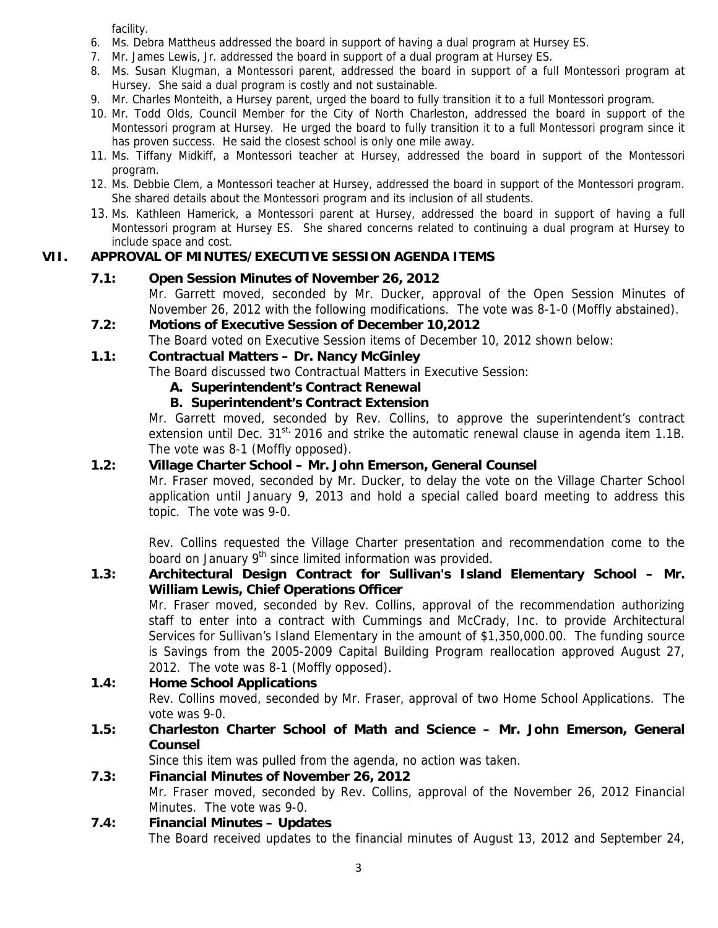facility.

- 6. Ms. Debra Mattheus addressed the board in support of having a dual program at Hursey ES.
- 7. Mr. James Lewis, Jr. addressed the board in support of a dual program at Hursey ES.
- 8. Ms. Susan Klugman, a Montessori parent, addressed the board in support of a full Montessori program at Hursey. She said a dual program is costly and not sustainable.
- 9. Mr. Charles Monteith, a Hursey parent, urged the board to fully transition it to a full Montessori program.
- 10. Mr. Todd Olds, Council Member for the City of North Charleston, addressed the board in support of the Montessori program at Hursey. He urged the board to fully transition it to a full Montessori program since it has proven success. He said the closest school is only one mile away.
- 11. Ms. Tiffany Midkiff, a Montessori teacher at Hursey, addressed the board in support of the Montessori program.
- 12. Ms. Debbie Clem, a Montessori teacher at Hursey, addressed the board in support of the Montessori program. She shared details about the Montessori program and its inclusion of all students.
- 13. Ms. Kathleen Hamerick, a Montessori parent at Hursey, addressed the board in support of having a full Montessori program at Hursey ES. She shared concerns related to continuing a dual program at Hursey to include space and cost.

### **VII. APPROVAL OF MINUTES/EXECUTIVE SESSION AGENDA ITEMS**

### **7.1: Open Session Minutes of November 26, 2012**

Mr. Garrett moved, seconded by Mr. Ducker, approval of the Open Session Minutes of November 26, 2012 with the following modifications. The vote was 8-1-0 (Moffly abstained).

 **7.2: Motions of Executive Session of December 10,2012** 

The Board voted on Executive Session items of December 10, 2012 shown below:

### **1.1: Contractual Matters – Dr. Nancy McGinley**

The Board discussed two Contractual Matters in Executive Session:

- **A. Superintendent's Contract Renewal**
- **B. Superintendent's Contract Extension**

Mr. Garrett moved, seconded by Rev. Collins, to approve the superintendent's contract extension until Dec. 31<sup>st,</sup> 2016 and strike the automatic renewal clause in agenda item 1.1B. The vote was 8-1 (Moffly opposed).

### **1.2: Village Charter School – Mr. John Emerson, General Counsel**

Mr. Fraser moved, seconded by Mr. Ducker, to delay the vote on the Village Charter School application until January 9, 2013 and hold a special called board meeting to address this topic. The vote was 9-0.

Rev. Collins requested the Village Charter presentation and recommendation come to the board on January 9<sup>th</sup> since limited information was provided.

### **1.3: Architectural Design Contract for Sullivan's Island Elementary School – Mr. William Lewis, Chief Operations Officer**

Mr. Fraser moved, seconded by Rev. Collins, approval of the recommendation authorizing staff to enter into a contract with Cummings and McCrady, Inc. to provide Architectural Services for Sullivan's Island Elementary in the amount of \$1,350,000.00. The funding source is Savings from the 2005-2009 Capital Building Program reallocation approved August 27, 2012. The vote was 8-1 (Moffly opposed).

### **1.4: Home School Applications**

Rev. Collins moved, seconded by Mr. Fraser, approval of two Home School Applications. The vote was 9-0.

### **1.5: Charleston Charter School of Math and Science – Mr. John Emerson, General Counsel**

Since this item was pulled from the agenda, no action was taken.

### **7.3: Financial Minutes of November 26, 2012**

Mr. Fraser moved, seconded by Rev. Collins, approval of the November 26, 2012 Financial Minutes. The vote was 9-0.

### **7.4: Financial Minutes – Updates**

The Board received updates to the financial minutes of August 13, 2012 and September 24,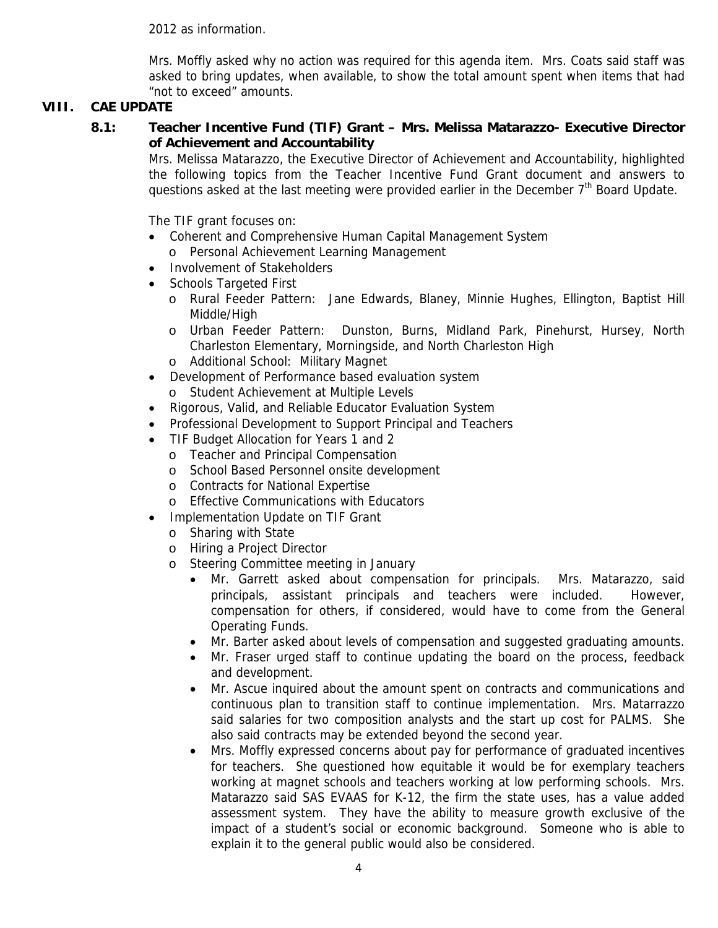2012 as information.

Mrs. Moffly asked why no action was required for this agenda item. Mrs. Coats said staff was asked to bring updates, when available, to show the total amount spent when items that had "not to exceed" amounts.

### **VIII. CAE UPDATE**

**8.1: Teacher Incentive Fund (TIF) Grant – Mrs. Melissa Matarazzo- Executive Director of Achievement and Accountability** 

Mrs. Melissa Matarazzo, the Executive Director of Achievement and Accountability, highlighted the following topics from the Teacher Incentive Fund Grant document and answers to questions asked at the last meeting were provided earlier in the December 7<sup>th</sup> Board Update.

The TIF grant focuses on:

- Coherent and Comprehensive Human Capital Management System o Personal Achievement Learning Management
- Involvement of Stakeholders
- Schools Targeted First
	- o Rural Feeder Pattern: Jane Edwards, Blaney, Minnie Hughes, Ellington, Baptist Hill Middle/High
	- o Urban Feeder Pattern: Dunston, Burns, Midland Park, Pinehurst, Hursey, North Charleston Elementary, Morningside, and North Charleston High
	- o Additional School: Military Magnet
- Development of Performance based evaluation system
	- o Student Achievement at Multiple Levels
- Rigorous, Valid, and Reliable Educator Evaluation System
- Professional Development to Support Principal and Teachers
- TIF Budget Allocation for Years 1 and 2
	- o Teacher and Principal Compensation
		- o School Based Personnel onsite development
		- o Contracts for National Expertise
	- o Effective Communications with Educators
- Implementation Update on TIF Grant
	- o Sharing with State
	- o Hiring a Project Director
	- o Steering Committee meeting in January
		- Mr. Garrett asked about compensation for principals. Mrs. Matarazzo, said principals, assistant principals and teachers were included. However, compensation for others, if considered, would have to come from the General Operating Funds.
		- Mr. Barter asked about levels of compensation and suggested graduating amounts.
		- Mr. Fraser urged staff to continue updating the board on the process, feedback and development.
		- Mr. Ascue inquired about the amount spent on contracts and communications and continuous plan to transition staff to continue implementation. Mrs. Matarrazzo said salaries for two composition analysts and the start up cost for PALMS. She also said contracts may be extended beyond the second year.
		- Mrs. Moffly expressed concerns about pay for performance of graduated incentives for teachers. She questioned how equitable it would be for exemplary teachers working at magnet schools and teachers working at low performing schools. Mrs. Matarazzo said SAS EVAAS for K-12, the firm the state uses, has a value added assessment system. They have the ability to measure growth exclusive of the impact of a student's social or economic background. Someone who is able to explain it to the general public would also be considered.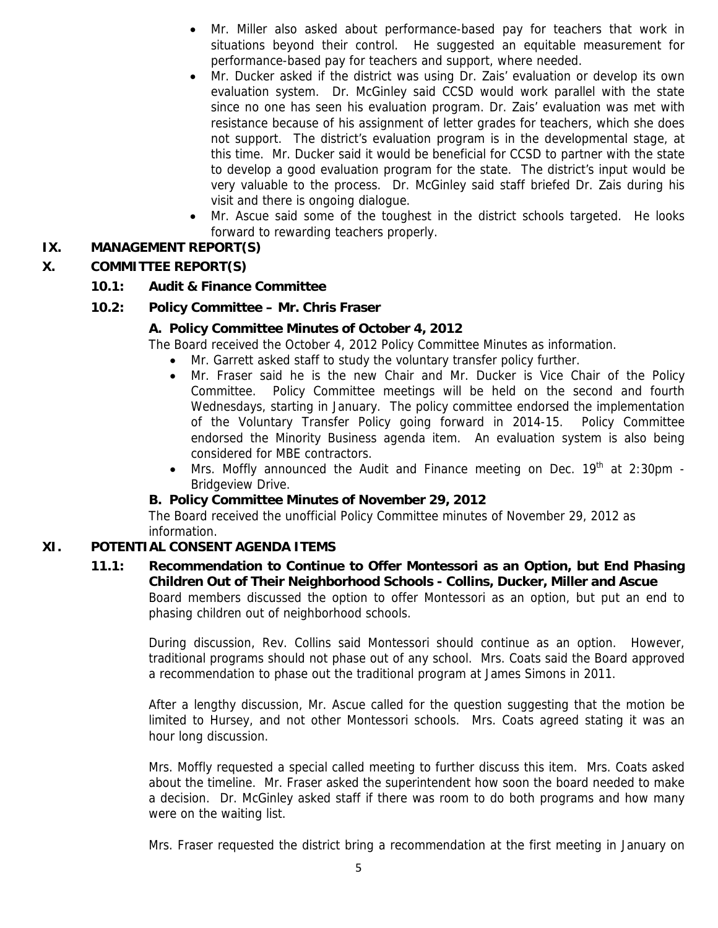- Mr. Miller also asked about performance-based pay for teachers that work in situations beyond their control. He suggested an equitable measurement for performance-based pay for teachers and support, where needed.
- Mr. Ducker asked if the district was using Dr. Zais' evaluation or develop its own evaluation system. Dr. McGinley said CCSD would work parallel with the state since no one has seen his evaluation program. Dr. Zais' evaluation was met with resistance because of his assignment of letter grades for teachers, which she does not support. The district's evaluation program is in the developmental stage, at this time. Mr. Ducker said it would be beneficial for CCSD to partner with the state to develop a good evaluation program for the state. The district's input would be very valuable to the process. Dr. McGinley said staff briefed Dr. Zais during his visit and there is ongoing dialogue.
- Mr. Ascue said some of the toughest in the district schools targeted. He looks forward to rewarding teachers properly.

### **IX. MANAGEMENT REPORT(S)**

### **X. COMMITTEE REPORT(S)**

### **10.1: Audit & Finance Committee**

### **10.2: Policy Committee – Mr. Chris Fraser**

### **A. Policy Committee Minutes of October 4, 2012**

The Board received the October 4, 2012 Policy Committee Minutes as information.

- Mr. Garrett asked staff to study the voluntary transfer policy further.
- Mr. Fraser said he is the new Chair and Mr. Ducker is Vice Chair of the Policy Committee. Policy Committee meetings will be held on the second and fourth Wednesdays, starting in January. The policy committee endorsed the implementation of the Voluntary Transfer Policy going forward in 2014-15. Policy Committee endorsed the Minority Business agenda item. An evaluation system is also being considered for MBE contractors.
- Mrs. Moffly announced the Audit and Finance meeting on Dec. 19<sup>th</sup> at 2:30pm -Bridgeview Drive.

### **B. Policy Committee Minutes of November 29, 2012**

The Board received the unofficial Policy Committee minutes of November 29, 2012 as information.

### **XI. POTENTIAL CONSENT AGENDA ITEMS**

### **11.1: Recommendation to Continue to Offer Montessori as an Option, but End Phasing Children Out of Their Neighborhood Schools - Collins, Ducker, Miller and Ascue**

Board members discussed the option to offer Montessori as an option, but put an end to phasing children out of neighborhood schools.

During discussion, Rev. Collins said Montessori should continue as an option. However, traditional programs should not phase out of any school. Mrs. Coats said the Board approved a recommendation to phase out the traditional program at James Simons in 2011.

After a lengthy discussion, Mr. Ascue called for the question suggesting that the motion be limited to Hursey, and not other Montessori schools. Mrs. Coats agreed stating it was an hour long discussion.

Mrs. Moffly requested a special called meeting to further discuss this item. Mrs. Coats asked about the timeline. Mr. Fraser asked the superintendent how soon the board needed to make a decision. Dr. McGinley asked staff if there was room to do both programs and how many were on the waiting list.

Mrs. Fraser requested the district bring a recommendation at the first meeting in January on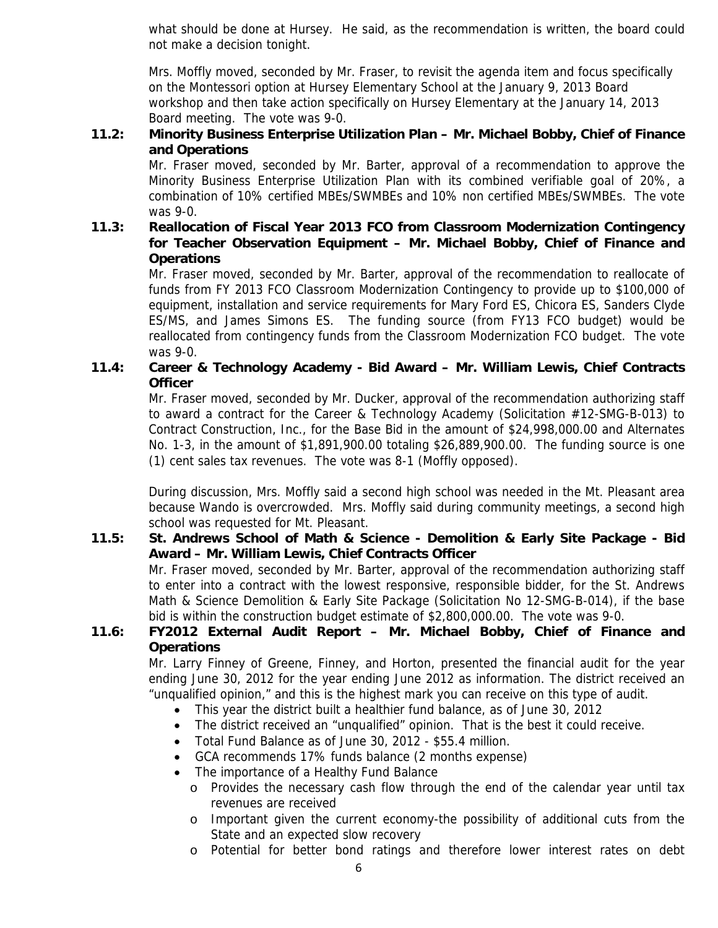what should be done at Hursey. He said, as the recommendation is written, the board could not make a decision tonight.

Mrs. Moffly moved, seconded by Mr. Fraser, to revisit the agenda item and focus specifically on the Montessori option at Hursey Elementary School at the January 9, 2013 Board workshop and then take action specifically on Hursey Elementary at the January 14, 2013 Board meeting. The vote was 9-0.

### **11.2: Minority Business Enterprise Utilization Plan – Mr. Michael Bobby, Chief of Finance and Operations**

Mr. Fraser moved, seconded by Mr. Barter, approval of a recommendation to approve the Minority Business Enterprise Utilization Plan with its combined verifiable goal of 20%, a combination of 10% certified MBEs/SWMBEs and 10% non certified MBEs/SWMBEs. The vote was 9-0.

### **11.3: Reallocation of Fiscal Year 2013 FCO from Classroom Modernization Contingency for Teacher Observation Equipment – Mr. Michael Bobby, Chief of Finance and Operations**

Mr. Fraser moved, seconded by Mr. Barter, approval of the recommendation to reallocate of funds from FY 2013 FCO Classroom Modernization Contingency to provide up to \$100,000 of equipment, installation and service requirements for Mary Ford ES, Chicora ES, Sanders Clyde ES/MS, and James Simons ES. The funding source (from FY13 FCO budget) would be reallocated from contingency funds from the Classroom Modernization FCO budget. The vote was 9-0.

### **11.4: Career & Technology Academy - Bid Award – Mr. William Lewis, Chief Contracts Officer**

Mr. Fraser moved, seconded by Mr. Ducker, approval of the recommendation authorizing staff to award a contract for the Career & Technology Academy (Solicitation #12-SMG-B-013) to Contract Construction, Inc., for the Base Bid in the amount of \$24,998,000.00 and Alternates No. 1-3, in the amount of \$1,891,900.00 totaling \$26,889,900.00. The funding source is one (1) cent sales tax revenues. The vote was 8-1 (Moffly opposed).

During discussion, Mrs. Moffly said a second high school was needed in the Mt. Pleasant area because Wando is overcrowded. Mrs. Moffly said during community meetings, a second high school was requested for Mt. Pleasant.

### **11.5: St. Andrews School of Math & Science - Demolition & Early Site Package - Bid Award – Mr. William Lewis, Chief Contracts Officer**

Mr. Fraser moved, seconded by Mr. Barter, approval of the recommendation authorizing staff to enter into a contract with the lowest responsive, responsible bidder, for the St. Andrews Math & Science Demolition & Early Site Package (Solicitation No 12-SMG-B-014), if the base bid is within the construction budget estimate of \$2,800,000.00. The vote was 9-0.

### **11.6: FY2012 External Audit Report – Mr. Michael Bobby, Chief of Finance and Operations**

Mr. Larry Finney of Greene, Finney, and Horton, presented the financial audit for the year ending June 30, 2012 for the year ending June 2012 as information. The district received an "unqualified opinion," and this is the highest mark you can receive on this type of audit.

- This year the district built a healthier fund balance, as of June 30, 2012
- The district received an "unqualified" opinion. That is the best it could receive.
- Total Fund Balance as of June 30, 2012 \$55.4 million.
- GCA recommends 17% funds balance (2 months expense)
- The importance of a Healthy Fund Balance
	- o Provides the necessary cash flow through the end of the calendar year until tax revenues are received
	- o Important given the current economy-the possibility of additional cuts from the State and an expected slow recovery
	- o Potential for better bond ratings and therefore lower interest rates on debt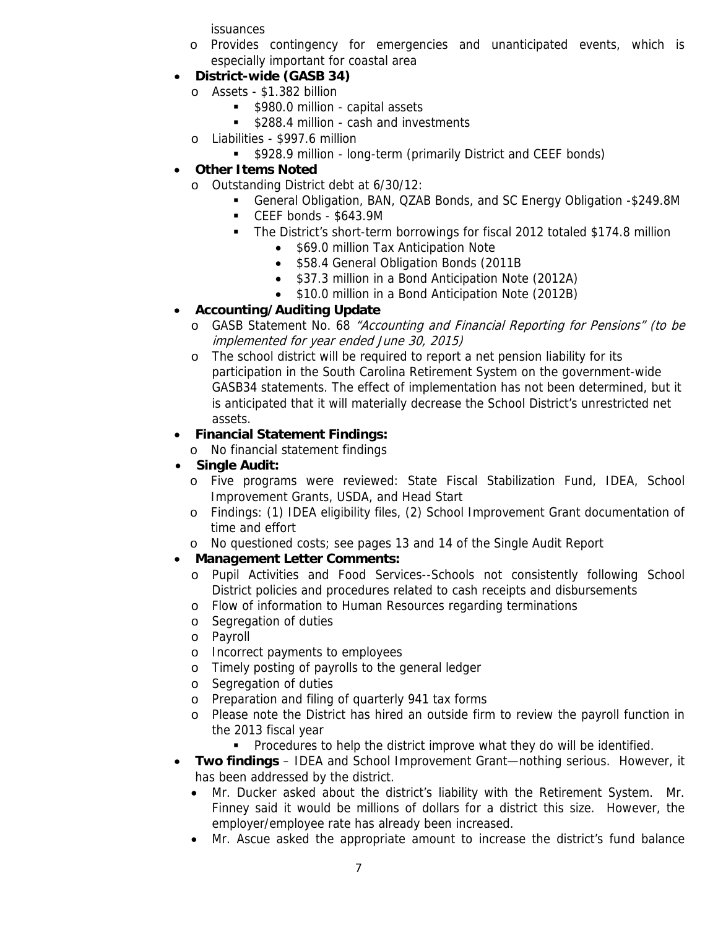issuances

- o Provides contingency for emergencies and unanticipated events, which is especially important for coastal area
- **District-wide (GASB 34)** 
	- o Assets \$1.382 billion
		- **5980.0 million capital assets**
		- **5288.4 million cash and investments**
	- o Liabilities \$997.6 million
		- **5928.9 million long-term (primarily District and CEEF bonds)**
- **Other Items Noted** 
	- o Outstanding District debt at 6/30/12:
		- General Obligation, BAN, QZAB Bonds, and SC Energy Obligation -\$249.8M
		- CEEF bonds \$643.9M
		- The District's short-term borrowings for fiscal 2012 totaled \$174.8 million
			- \$69.0 million Tax Anticipation Note
			- \$58.4 General Obligation Bonds (2011B
			- \$37.3 million in a Bond Anticipation Note (2012A)
			- \$10.0 million in a Bond Anticipation Note (2012B)

## • **Accounting/Auditing Update**

- o GASB Statement No. 68 "Accounting and Financial Reporting for Pensions" (to be implemented for year ended June 30, 2015)
- o The school district will be required to report a net pension liability for its participation in the South Carolina Retirement System on the government-wide GASB34 statements. The effect of implementation has not been determined, but it is anticipated that it will materially decrease the School District's unrestricted net assets.

### • **Financial Statement Findings:**

o No financial statement findings

- **Single Audit:** 
	- o Five programs were reviewed: State Fiscal Stabilization Fund, IDEA, School Improvement Grants, USDA, and Head Start
	- o Findings: (1) IDEA eligibility files, (2) School Improvement Grant documentation of time and effort
	- o No questioned costs; see pages 13 and 14 of the Single Audit Report

## • **Management Letter Comments:**

- o Pupil Activities and Food Services--Schools not consistently following School District policies and procedures related to cash receipts and disbursements
- o Flow of information to Human Resources regarding terminations
- o Segregation of duties
- o Payroll
- o Incorrect payments to employees
- o Timely posting of payrolls to the general ledger
- o Segregation of duties
- o Preparation and filing of quarterly 941 tax forms
- o Please note the District has hired an outside firm to review the payroll function in the 2013 fiscal year
	- **Procedures to help the district improve what they do will be identified.**
- **Two findings** IDEA and School Improvement Grant—nothing serious. However, it has been addressed by the district.
	- Mr. Ducker asked about the district's liability with the Retirement System. Mr. Finney said it would be millions of dollars for a district this size. However, the employer/employee rate has already been increased.
	- Mr. Ascue asked the appropriate amount to increase the district's fund balance